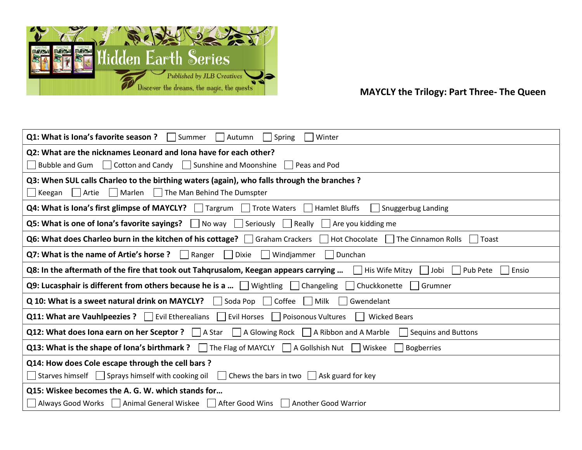

## MAYCLY the Trilogy: Part Three- The Queen

| <b>Q1: What is lona's favorite season ?</b> $\vert$ Summer<br>  Autumn<br>Winter<br>  Spring                                              |
|-------------------------------------------------------------------------------------------------------------------------------------------|
| Q2: What are the nicknames Leonard and Iona have for each other?                                                                          |
| Bubble and Gum   Cotton and Candy   Sunshine and Moonshine   Peas and Pod                                                                 |
| Q3: When SUL calls Charleo to the birthing waters (again), who falls through the branches?                                                |
| Keegan     Artie     Marlen     The Man Behind The Dumspter                                                                               |
| <b>Q4: What is lona's first glimpse of MAYCLY?</b> Targrum Trote Waters Hamlet Bluffs<br>Snuggerbug Landing                               |
| <b>Q5: What is one of lona's favorite sayings?</b> No way Seriously Really Are you kidding me                                             |
| Q6: What does Charleo burn in the kitchen of his cottage? Graham Crackers Hot Chocolate The Cinnamon Rolls<br>Toast                       |
| Q7: What is the name of Artie's horse ? $\vert \vert$ Ranger<br>$\Box$ Dixie<br>Windjammer<br>  Dunchan                                   |
| Q8: In the aftermath of the fire that took out Tahqrusalom, Keegan appears carrying<br>    His Wife Mitzy     Jobi<br>  Pub Pete<br>Ensio |
| <b>Q9: Lucasphair is different from others because he is a </b> $\Box$ Wightling $\Box$ Changeling $\Box$ Chuckkonette<br>  Grumner       |
| Q 10: What is a sweet natural drink on MAYCLY? $\Box$ Soda Pop $\Box$ Coffee<br>Milk<br>Gwendelant                                        |
| <b>Q11: What are Vauhlpeezies ?</b> Evil Etherealians Evil Horses Poisonous Vultures<br><b>Wicked Bears</b>                               |
| <b>Q12: What does Iona earn on her Sceptor ?</b>   A Star   A Glowing Rock   A Ribbon and A Marble   Sequins and Buttons                  |
| <b>Q13: What is the shape of lona's birthmark?</b> The Flag of MAYCLY $\Box$ A Gollshish Nut $\Box$ Wiskee $\Box$<br>Bogberries           |
| Q14: How does Cole escape through the cell bars?                                                                                          |
| Starves himself $\Box$ Sprays himself with cooking oil $\Box$ Chews the bars in two $\Box$ Ask guard for key                              |
| Q15: Wiskee becomes the A. G. W. which stands for                                                                                         |
| Always Good Works   Animal General Wiskee   After Good Wins<br>  Another Good Warrior                                                     |